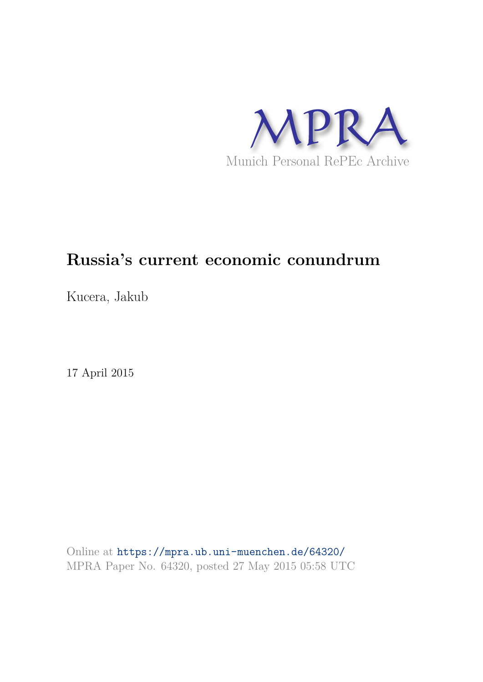

# **Russia's current economic conundrum**

Kucera, Jakub

17 April 2015

Online at https://mpra.ub.uni-muenchen.de/64320/ MPRA Paper No. 64320, posted 27 May 2015 05:58 UTC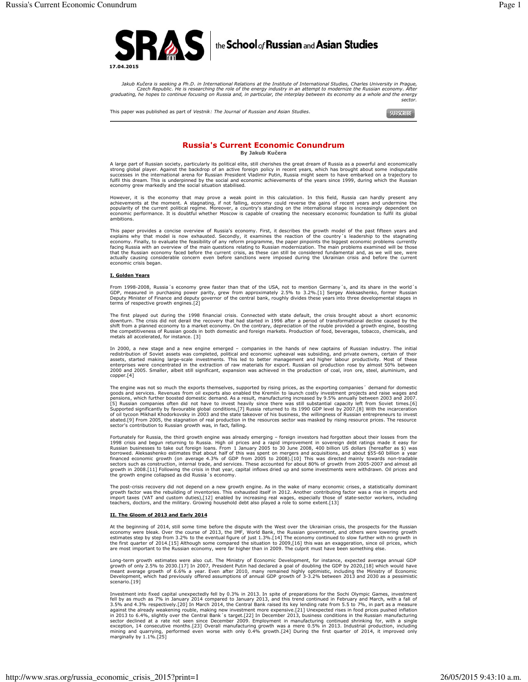

Jakub Kučera is seeking a Ph.D. in International Relations at the Institute of International Studies, Charles University in Prague, Czech Republic. He is researching the role of the energy industry in an attempt to modernize the Russian economy. After<br>graduating, he hopes to continue focusing on Russia and, in particular, the interplay between its econ

This paper was published as part of Vestnik: The Journal of Russian and Asian Studies.

SUBSCRIBE

# **Russia's Current Economic Conundrum** By Jakub Kučera

A large part of Russian society, particularly its political elite, still cherishes the great dream of Russia as a powerful and economically strong global player. Against the backdrop of an active foreign policy in recent y fulfil this dream. This is underpinned by the social and economic achievements of the years since 1999, during which the Russian economy grew markedly and the social situation stabilised.

However, it is the economy that may prove a weak point in this calculation. In this field, Russia can hardly present any active ments at the moment. A stagnating, if not falling, economy could reverse the gains of recent years and undermine the popularity of the current political regime. Moreover, a country's standing on the international st ambitions

This paper provides a concise overview of Russia's economy. First, it describes the growth model of the past fifteen years and explains why that model is now exhausted. Secondly, it examines the reaction of the country's l actually causing considerable concern even before sanctions were imposed during the Ukrainian crisis and before the current<br>economic crisis began.

### I. Golden Years

From 1998-2008. Russia 's economy grew faster than that of the USA, not to mention Germany 's, and its share in the world 's COP, measured in purchasing power parity, grew from approximately 2.5% to 3.2%.[1] Sergey Aleksashenko, former Russian<br>Deputy Minister of Finance and deputy governor of the central bank, roughly divides these years into th terms of respective growth engines.[2]

The first played out during the 1998 financial crisis. Connected with state default, the crisis brought about a short economic<br>downturn. The crisis did not derail the recovery that had started in 1996 after a period of tra shift from a planned economy to a market economy. On the contrary, depreciation of the rouble provided a growth engine, boosting<br>the competitiveness of Russian goods in both domestic and foreign markets. Production of the

In 2000, a new stage and a new engine emerged – companies in the hands of new captains of Russian industry. The initial redistribution of Soviet assets was completed, political and economic upheaval was subsiding, and priv experience on contracted in the extraction of raw materials for export. Russian oil production rose by almost 50% between<br>2000 and 2005. Smaller, albeit still significant, expansion was achieved in the production of coal, copper.[4]

The engine was not so much the exports themselves, supported by rising prices, as the exporting companies' demand for domestic<br>goods and services. Revenues from oil exports also enabled the Kremlin to launch costly investm generations, which further boosted domestic demand. As a result, manufacturing increased by 9.5% annually between 2003 and 2007.<br>[5] Russian companies often did not have to invest heavily since there was still substantial abated.[9] From 2005, the stagnation of real production in the resources sector was masked by rising resource prices. The resource sector's contribution to Russian growth was, in fact, falling.

Fortunately for Russia, the third growth engine was already emerging – foreign investors had forgotten about their losses from the 1998 crisis and begun returning to Russia. High oil prices and a rapid improvement in sover Normales and additions, and about 555-60 billion a year.<br>Inanced economic growth (on average 4.3% of GDP from 2005 to 2008).[10] This was directed mainly towards non-tradable<br>financed economic growth (on average 4.3% of GD growth in 2008.[11] Following the crisis in that year, capital inflows dried up and some investments were withdrawn. Oil prices and<br>the growth engine collapsed as did Russia's economy.

The post-crisis recovery did not depend on a new growth engine. As in the wake of many economic crises, a statistically dominant rive point factor was the rebuilding of inventories. This exhausted itself in 2012. Another contributing factor was a rise in imports and<br>import taxes (VAT and custom duties),[12] enabled by increasing real wages, especial

## II. The Gloom of 2013 and Early 2014

At the beginning of 2014, still some time before the dispute with the West over the Ukrainian crisis, the prospects for the Russian economy were bleak. Over the course of 2013, the IMC, World Bank, the Russian government, are most important to the Russian economy, were far higher than in 2009. The culprit must have been something else

Long-term growth estimates were also cut. The Ministry of Economic Development, for instance, expected average annual GDP Equipment, which had previously offered assumptions of annual You Counting the GDP by 2020, [18] which would have<br>meant average growth of 6.6% a year. Even after 2010, many remained highly optimistic, including the Ministr scenario.[19]

Investment into fixed capital unexpectedly fell by 0.3% in 2013. In spite of preparations for the Sochi Olympic Games, investment Fell by as much as 7% in January 2014 compared to January 2013, and this trend continued in February and March, with a fall of<br>3.5% and 4.3% respectively.[20] In March 2014, the Central Bank raised its key lending rate fro against the aiready weakening rouble, making new investment more expensive.[21] unexpected rises in food prices pushed in 2013 to 6.4%, slightly over the Central Bank's target.[22] In December 2013, business conditions in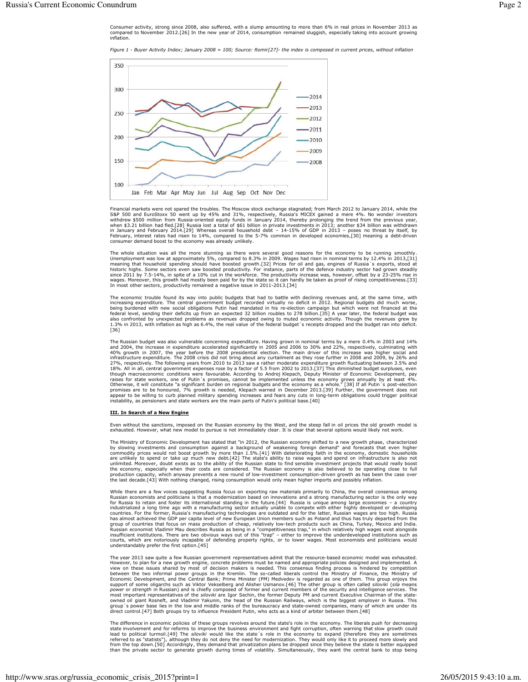Consumer activity, strong since 2008, also suffered, with a slump amounting to more than 6% in real prices in November 2013 as<br>compared to November 2012.[26] In the new year of 2014, consumption remained sluggish, especial inflation

Figure 1 - Buver Activity Index: January 2008 = 100: Source: Romir[27]- the index is composed in current prices, without inflation



Financial markets were not spared the troubles. The Moscow stock exchange stagnated; from March 2012 to January 2014, while the Financial markets were not spared the troubles. The Moscow stock excrualing stagnated; from miarci 2012 to January 2014, the space of SQP 500 and EuroStoxx 50 went up by 45% and 31%, respectively, Russia's MICEX gained a

The whole situation was all the more stunning as there were several good reasons for the economy to be running smoothly.<br>Unemployment was low at approximately 5%, compared to 8.3% in 2009. Wages had risen in nominal terms In most other sectors, productivity remained a negative issue in 2011-2013.[34]

The economic trouble found its way into public budgets that had to battle with declining revenues and, at the same time, with increasing expenditure. The central government budget recorded virtually no deficit in 2012. Regional budgets did much worse, being burdened with new social obligations Putin had mandated in his re-election campaign but wh also confronted by unexpected problems as revenues dropped owing to muted economic activity. Though the revenues grew by<br>1.3% in 2013, with inflation as high as 6.4%, the real value of the federal budget's receipts dropped  $[36]$ 

The Russian budget was also vulnerable concerning expenditure. Having grown in nominal terms by a mere 0.4% in 2003 and 14% and 2004, the increase in expenditure accelerated significantly in 2005 and 2006 to 30% and 22%, r infrastructure expenditure. The 2008 crisis did not bring about any curtailment as they rose further in 2008 and 2009, by 26% and 27%, respectively. The following years from 2010 to 2013 saw a rather moderate expenditure g From the mark conditions were favourable. According to Andrej Klepach, Deputy Minister of Economic Development, pay<br>raises for state workers, one of Putin's promises, cannot be implemented unless the economy grows annually becomes are to be honoured, 7% growth is needed, Klepach warned in December 2013.[39] Further, the government does not<br>appear to be willing to curb planned military spending increases and fears any cuts in long-term obliga

#### III. In Search of a New Engine

Even without the sanctions, imposed on the Russian economy by the West, and the steep fall in oil prices the old growth model is exhausted. However, what new model to pursue is not immediately clear. It is clear that several options would likely not work.

The Ministry of Economic Development has stated that "in 2012, the Russian economy shifted to a new growth phase, characterized The ministry of Economic Development nas state and the ZULZ, the Kussian economy shired to a new growth paraseterized by slowing investments and consumption against a background of weakening foreign demand" and forecasts t the economy, especially when their costs are considered. The Russian economy is also believed to be operating close to full production capacity, which anyway prevents a new round of low-investment consumption-driven growth

While there are a few voices suggesting Russia focus on exporting raw materials primarily to China, the overall consensus among Russian economists and politicians is that a modernization based on innovations and a strong m and of countries that focus on mass production of cheap, relatively low-tech products such as China, Turkey, Mexico and India.<br>Russian economist Vladimir Mau describes Russia as being in a "competitiveness trap," in which insufficient institutions. There are two obvious ways out of this "trap" - either to improve the underdeveloped institutions such as courts, which are notoriously incapable of defending property rights, or to lower wages. Most economists and politicians would<br>understandably prefer the first option.[45]

The year 2013 saw quite a few Russian government representatives admit that the resource-based economic model was exhausted The year 2013 saw quite a few Russian government representatives admit that the resource-based economic model was exhausted. A view on these issues shared by most of decision makers is needed. This consensus finding proces group's power base lies in the low and middle ranks of the bureaucracy and state-owned companies, many of which are under its direct control.[47] Both groups try to influence President Putin, who acts as a kind of arbiter

The difference in economic policies of these groups revolves around the state's role in the economy. The liberals push for decreasing Figure uncertainty conduct points of these groups is every solution of the text of the method of the text of the text of the business environment and fight corruption, often warning that slow growth could lead to political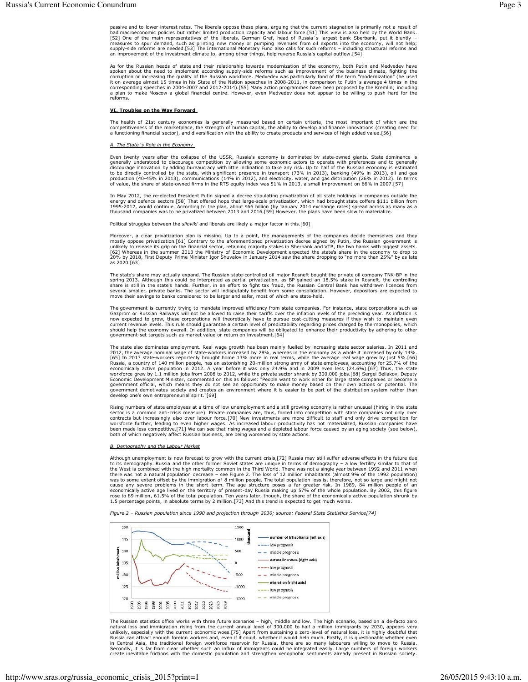passive and to lower interest rates. The liberals oppose these plans, arguing that the current stagnation is primarily not a result of bad macroeconomic policies but rather limited production capacity and labour force.[51]

As for the Russian heads of state and their relationship towards modernization of the economy, both Putin and Medvedev have<br>spoken about the need to implement according supply-side reforms such as improvement of the busine spoken about the need to imperment according supply-side reforms such as improvement or the business cumate, ngining the quality of the Russian workforce. Medvedev was particularly fond of the term "modernization" (he used

### VI. Troubles on the Way Forward

The health of 21st century economies is generally measured based on certain criteria, the most important of which are the competitiveness of the marketplace, the strength of human capital, the ability to develop and financ a functioning financial sector), and diversification with the ability to create products and services of high added value [56]

## The State's Role in the Eco

Even twenty years after the collapse of the USSR, Russia's economy is dominated by state-owned giants. State dominance is event wenty years and to discourage competition by allowing some economic actors to operate with preferences and to generally<br>generally understood to discourage competition by allowing some economic actors to operate with

In May 2012, the re-elected President Putin signed a decree stipulating privatization of all state holdings in companies outside the Figure 1. The concession of the plane of the plane of the plane and the energy and defence sectors. [58] That offered hope that large-scale privatization, which had brought state coffers \$111 billion from<br>1995-2012, would

Political struggles between the siloviki and liberals are likely a major factor in this [60]

Moreover, a clear privatization plan is missing. Up to a point, the managements of the companies decide themselves and they mostly oppose privatization.[61] Contrary to the aforementioned privatization decree signed by Put as 2020.[63]

The state's share may actually expand. The Russian state-controlled oil major Rosneft bought the private oil company TNK-BP in the spring 2013. Although this could be interpreted as partial privatization, as BP gained an 1 shing experiments of the state's hands. Further, in an effort to fight tax fraud, the Russian Central Bank has withdrawn licences from<br>several smaller, private banks. The sector will indisputably benefit from some consolid

The government is currently trying to mandate improved efficiency from state companies. For instance, state corporations such as<br>Gazprom or Russian Railways will not be allowed to raise their tariffs over the inflation lev now expected to grow, these corporations will theoretically have to pursue cost-cutting measures if they wish to maintain even<br>current revenue levels. This rule should guarantee a certain level of predictability regarding government-set targets such as market value or return on investment.[64]

The state also dominates employment. Real wage growth has been mainly fuelled by increasing state sector salaries. In 2011 and<br>2012, the average nominal wage of state-workers increased by 28%, whereas in the economy as a w [65] In 2013 state-workers reportedly brought home 13% more in real terms, while the average real wage grew by just 5%.[66] In 2013 state-workers reportedly brought home 13% more in real terms, while the average real wage exponenting active population in 2012. A year better two studies that the studies of the studies of the studies of the private sector shrank by 300,000 jobs. [68] Sergei Beliakov, Deputy Economic Development Minister, comm government demotivates society and creates an environment where it is easier to be part of the distribution system rather than develop one's own entrepreneurial spirit."[69]

Rising numbers of state employees at a time of low unemployment and a still growing economy is rather unusual (hiring in the state sector is a common anti-crisis measure). Private companies are, thus, forced into competiti workforce further, leading to even higher wages. As increased labour productivity has not materialized, Russian companies have been made less competitive.[71] We can see that rising wages and a depleted labour force caused

#### B. Demography and the Labour Market

Although unemployment is now forecast to grow with the current crisis, [72] Russia may still suffer adverse effects in the future due to its demography. Russia and the other former Soviet states are unique in terms of dem

Figure 2 - Russian population since 1990 and projection through 2030; source: Federal State Statistics Service[74]



The Russian statistics office works with three future scenarios – high, middle and low. The high scenario, based on a de-facto zero natural loss and immigration rising from the current annual level of 300,000 to half a mil create inevitable frictions with the domestic population and strengthen xenophobic sentiments already present in Russian society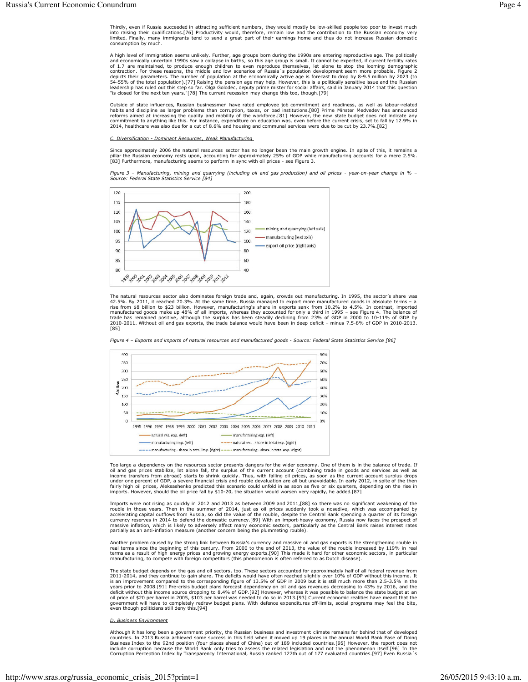Thirdly, even if Russia succeeded in attracting sufficient numbers, they would mostly be low-skilled people too poor to invest much into raising their qualifications.[76] Productivity would, therefore, remain low and the c consumption by much.

A high level of immigration seems unlikely. Further, age groups born during the 1990s are entering reproductive age. The politically A might even of infinity and economically uncertain 1990s saw a collapse in births, so this age group is small. It cannot be expected, if current fertility rates<br>of 1.7 are maintained, to produce enough children to even re depicts their parameters. The number of population at the economically active age is forecast to drop by 8-9.5 million by 2023 (to 34-55% of the total population). The number of population at the economically active age is "is closed for the next ten years."[78] The current recession may change this too, though.[79]

Outside of state influences, Russian businessmen have rated employee job commitment and readiness, as well as labour-related<br>habits and discipline as larger problems than corruption, taxes, or bad institutions.[80] Prime M Travies and unsequinter as rarger problems than corruption, taxes, or bad institutions.[80] Prime minster medvedev has announced reforms aimed at increasing the quality and mobility of the workforce.[81] However, the new s

### Diversification - Dominant Resources, Weak Manufacturing

Since approximately 2006 the natural resources sector has no longer been the main growth engine. In spite of this, it remains a pillar the Russian economy rests upon, accounting for approximately 25% of GDP while manufacturing accounts for a mere 2.5%.<br>[83] Furthermore, manufacturing seems to perform in sync with oil prices - see Figure 3.

Figure 3 – Manufacturing, mining and quarrying (including oil and gas production) and oil prices - year-on-year change in % –<br>Source: Federal State Statistics Service [84]



The natural resources sector also dominates foreign trade and, again, crowds out manufacturing. In 1995, the sector's share was The natural resources sector also commates foreign trade and, again, crowns out manutaturing. In 1995, the sector s snare time, Russia managed to export more manufactured goods in absolute terms – a rise from \$8 billion to [85]

Figure 4 - Exports and imports of natural resources and manufactured goods - Source: Federal State Statistics Service [86]



Too large a dependency on the resources sector presents dangers for the wider economy. One of them is in the balance of trade. If oil and gas prices stabilize, let alone fall, the surplus of the current account (combining nearm exponent of GDP, a severe financial crisis and rouble devaluation are all but unavoidable. In early 2012, in spite of the then<br>fairly high oil prices, Aleksashenko predicted this scenario could unfold in as soon as f

Imports were not rising as quickly in 2012 and 2013 as between 2009 and 2011, [88] so there was no significant weakening of the rouble in those years. Then in the summer of 2014, just as oil prices suddenly took a nosedive currency reserves in 2014 to defend the domestic currency.[89] With an import-heavy economy, Russia now faces the prospect of<br>massive inflation, which is likely to adversely affect many economic sectors, particularly as th partially as an anti-inflation measure (another concern being the plummeting rouble).

Another problem caused by the strong link between Russia's currency and massive oil and gas exports is the strengthening rouble in real terms since the beginning of this century. From 2000 to the end of 2013, the value of terms as a result of high energy prices and growing energy exports.[90] This made it hard for other economic sectors, in particular manufacturing, to compete with foreign competitors (this phenomenon is often referred to a

The state budget depends on the gas and oil sectors, too. These sectors accounted for approximately half of all federal revenue from 2011-2014, and they continue to gain share. The deficits would have often reached slightly over 10% of GDP without this income. It<br>is an improvement compared to the corresponding figure of 13.5% of GDP in 2009 but it is st deficit without this income source dropping to 8.4% of GDP.[92] However, whereas it was possible to balance the state budget at an oil price of \$20 per barrel in 2005, \$103 per barrel was needed to do so in 2013.[93] Curre even though politicians still deny this.[94]

# **D. Business Environment**

Although it has long been a government priority, the Russian business and investment climate remains far behind that of developed countries. In 2013 Russia achieved some success in this field when it moved up 19 places in the annual World Bank Ease of Doing<br>Business Index to the 92nd position (four places ahead of China) out of 189 included countries include corruption because the World Bank only tries to assess the related legislation and not the phenomenon itself.[96] In the Corruption Perception Index by Transparency International, Russia ranked 127th out of 177 evaluated countries [97] Even Russia 's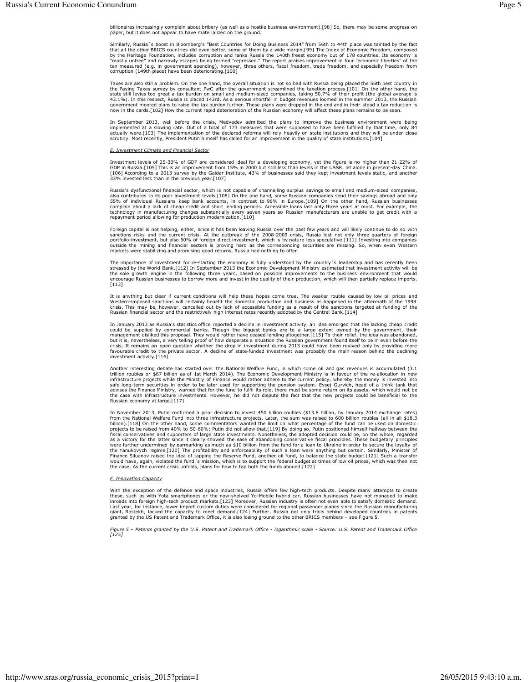billionaires increasingly complain about bribery (as well as a hostile business environment).[98] So, there may be some progress on paper, but it does not appear to have materialized on the ground.

Similarly, Russia 's boost in Bloomberg's "Best Countries for Doing Business 2014" from 56th to 44th place was tainted by the fact<br>that all the other BRICS countries did even better, some of them by a wide margin.[99] The by the ristrate in duration, includes corruption and ranks was a the T-turn rieest economy out of Tro counties. Its economy is<br>"mostly unfree" and narrowly escapes being termed "repressed." The report praises improvement i

Taxes are also still a problem. On the one hand, the overall situation is not so bad with Russia being placed the 56th best country in the Paying Taxes survey by consultant PwC after the government streamlined the taxation

In September 2013, well before the crisis, Medvedev admitted the plans to improve the business environment were being<br>implemented at a slowing rate. Out of a total of 173 measures that were supposed to have been fulfilled actually were [103] The implementation of the declared reforms will rely heavily on state institutions and they will be under close scrutiny. Most recently, President Putin himself has called for an improvement in the qual

#### **E. Investment Climate and Financial Sector**

Investment levels of 25-30% of GDP are considered ideal for a developing economy, yet the figure is no higher than 21-22% of GDP in Russia.[105] This is an improvement from 15% in 2000 but still less than levels in the USS

Russia's dysfunctional financial sector, which is not capable of channelling surplus savings to small and medium-sized companies, also contributes to its poor investment levels.[108] On the one hand, some Russian companies

Foreign capital is not helping, either, since it has been leaving Russia over the past few years and will likely continue to do so with sanctions risks and the current crisis. At the outbreak of the 2008-2009 crisis, Russi

The importance of investment for re-starting the economy is fully understood by the country's leadership and has recently been stressed by the World Bank.[112] In September 2013 the Economic Development Ministry estimated ncourage Russian businesses to borrow more and invest in the quality of their production, which will then partially replace imports.  $[113]$ 

It is anything but clear if current conditions will help these hopes come true. The weaker rouble caused by low oil prices and Nextern-imposed sanctions will certainly benefit the domestic production and business as happened in the aftermath of the 1998<br>crisis. This may be, however, cancelled out by lack of accessible funding as a result of the sa Russian financial sector and the restrictively high interest rates recently adopted by the Central Bank.[114]

In January 2013 as Russia's statistics office reported a decline in investment activity, an idea emerged that the lacking cheap credit could be supplied by commercial banks. Though the biggest banks are to a large extent o could be supplied by continential banks. Though the biggest banks are to a large extent owned by the government, it uses and an analogenent disliked this proposal. They would rather have ceased lending altogether. [115] To favourable credit to the private sector. A decline of state-funded investment was probably the main reason behind the declining investment activity.[116]

Another interesting debate has started over the National Welfare Fund, in which some oil and gas revenues is accumulated (3.1 Figure Transformation of the Pallocation in the Higher Transformation of the Pallocation in the transformation of the Pallocation in the infrastructure projects while the Ministry of Finance would rather adhere to the curr state in the Einance Ministry, warned that for the fund to fulfil its role, there must be some return on its assets, which would not be<br>the case with infrastructure investments. However, he did not dispute the fact that th

In November 2013, Putin confirmed a prior decision to invest 450 billion roubles (\$13.8 billion, by January 2014 exchange rates) from the National Welfare Fund into three infrastructure projects. Later, the sum was raised istantioners and supporters of large state investments. Noteintensis, the duotient and construction of the latter since it clearly showed the ease of abandoning conservative fiscal principles. These budgetary principles w

# F. Innovation Capacity

With the exception of the defence and space industries, Russia offers few high-tech products. Despite many attempts to create these, such as with Yota smartphones or the now-shelved Yo-Mobile hybrid car, Russian businesses

Figure 5 - Patents granted by the U.S. Patent and Trademark Office - logarithmic scale - Source: U.S. Patent and Trademark Office  $[125]$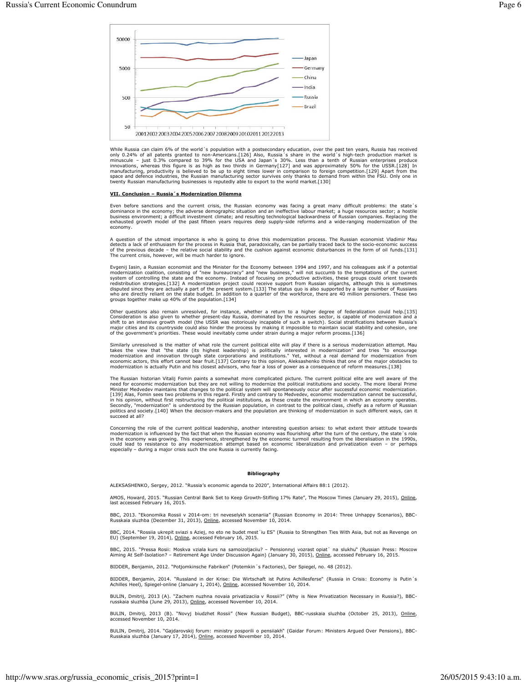

While Russia can claim 6% of the world's population with a postsecondary education, over the past ten years, Russia has received only 0.24% of all patents granted to non-Americans.[126] Also, Russia' is share in the world' manufacturing, productivity is believed to be up to eight times lower in comparison to foreign competition.[129] Apart from the space and defence industries, the Russian manufacturing sector survives only thanks to demand

#### VII. Conclusion - Russia's Modernization Dilemma

Even before sanctions and the current crisis, the Russian economy was facing a great many difficult problems: the state's dominance in the economy; the adverse demographic situation and an ineffective labour market; a huge exhausted growth model of the past fifteen years requires deep supply-side reforms and a wide-ranging modernization of the economy.

A question of the utmost importance is who is going to drive this modernization process. The Russian economist Vladimir Mau detects a lack of enthusiasm for the process in Russia that, paradoxically, can be partially trace The current crisis, however, will be much harder to jonore.

Evgenij Iasin, a Russian economist and the Minister for the Economy between 1994 and 1997, and his colleagues ask if a potential modernization coalition, consisting of "new bureaucracy" and "new business," will not succumb groups together make up 40% of the population.[134]

Other questions also remain unresolved, for instance, whether a return to a higher degree of federalization could help.[135] Consideration is also given to whether present-day Russia, dominated by the resources sector, is Consumeration is also growth model (the USSR was notoriously incapable of such a switch). Social stratifications between Russia's shift to an intensive growth model (the USSR was notoriously incapable of such a switch). So

Similarly unresolved is the matter of what role the current political elite will play if there is a serious modernization attempt. Mau<br>takes the view that "the state (its highest leadership) is politically interested in mo modernization and innovation through state corporations and institutions." Yet, without a real demand for modernization from<br>economic actors, this effort cannot bear fruit.[137] Contrary to this opinion, Aleksashenko think obstacles to

The Russian historian Vitalij Fomin paints a somewhat more complicated picture. The current political elite are well aware of the need for economic modernization but they are not willing to modernize the political institut Finance Treatmentality and contrary to Medvedey, economic modernization cannot be successful,<br>[139] Alas, Fomin sees two problems in this regard. Firstly and contrary to Medvedey, economic modernization cannot be successfu but the decision-makers and the population, in contrast to the pointed education in such different ways, can it<br>politics and society.[140] When the decision-makers and the population are thinking of modernization in such d

Concerning the role of the current political leadership, another interesting question arises: to what extent their attitude towards modernization is influenced by the fact that when the Russian economy was flourishing afte could lead to resistance to any modernization attempt based on economic liberalization and privatization even - or perhaps<br>especially - during a major crisis such the one Russia is currently facing.

#### **Bibliography**

ALEKSASHENKO, Sergey, 2012. "Russia's economic agenda to 2020", International Affairs 88:1 (2012).

AMOS, Howard, 2015. "Russian Central Bank Set to Keep Growth-Stifling 17% Rate", The Moscow Times (January 29, 2015), Online,<br>last accessed February 16, 2015.

BBC, 2013. "Ekonomika Rossii v 2014-om: tri neveselykh scenariia" (Russian Economy in 2014: Three Unhappy Scenarios), BBC-<br>Russkaia sluzhba (December 31, 2013), Online, accessed November 10, 2014.

BBC, 2014. "Rossiia ukrepit sviazi s Aziej, no eto ne budet mest'iu ES" (Russia to Strengthen Ties With Asia, but not as Revenge on<br>EU) (September 19, 2014), <u>Online</u>, accessed February 16, 2015.

BBC, 2015. "Pressa Rosii: Moskva vziala kurs na samoizoljaciiu? – Pensionnyj vozrast opiat' na slukhu" (Russian Press: Moscow<br>Aiming At Self-Isolation? – Retirement Age Under Discussion Again) (January 30, 2015), <u>Online</u>,

BIDDER, Benjamin, 2012. "Potjomkinsche Fabriken" (Potemkin 's Factories), Der Spiegel, no. 48 (2012).

BIDDER, Benjamin, 2014. "Russland in der Krise: Die Wirtschaft ist Putins Achillesferse" (Russia in Crisis: Economy is Putin's Achilles Heel), Spiegel-online (January 1, 2014), Online, accessed November 10, 2014.

BULIN, Dmitrij, 2013 (A). "Zachem nuzhna novaia privatizaciia v Rossii?" (Why is New Privatization Necessary in Russia?), BBC-russkaia sluzhba (June 29, 2013), <u>Online</u>, accessed November 10, 2014.

BULIN, Dmitrij, 2013 (B). "Novyj biudzhet Rossii" (New Russian Budget), BBC-russkaia sluzhba (October 25, 2013), Online, accessed November 10. 2014.

BULIN, Dmitrij, 2014. "Gajdarovskij forum: ministry posporili o pensiiakh" (Gaidar Forum: Ministers Argued Over Pensions), BBC-<br>Russkaia sluzhba (January 17, 2014), <u>Online,</u> accessed November 10, 2014.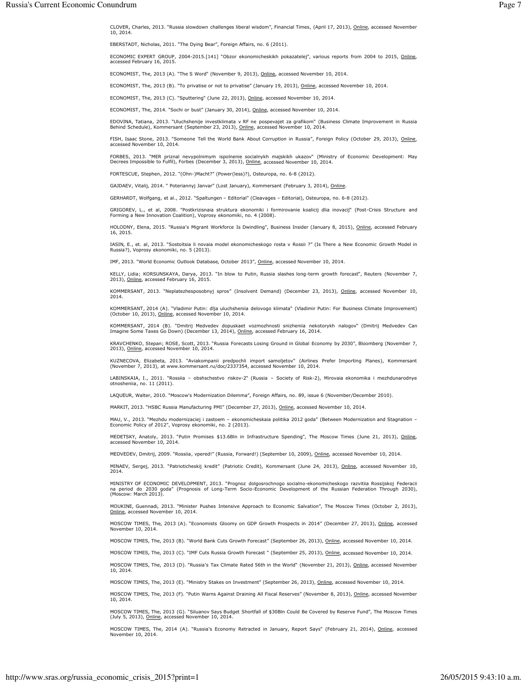CLOVER, Charles, 2013. "Russia slowdown challenges liberal wisdom", Financial Times, (April 17, 2013), <u>Online</u>, accessed November 10, 2014

EBERSTADT, Nicholas, 2011. "The Dying Bear", Foreign Affairs, no. 6 (2011).

ECONOMIC EXPERT GROUP, 2004-2015.[141] "Obzor ekonomicheskikh pokazatelej", various reports from 2004 to 2015, <u>Online</u>, accessed February 16, 2015.

ECONOMIST, The, 2013 (A). "The S Word" (November 9, 2013), <u>Online,</u> accessed November 10, 2014.

ECONOMIST, The, 2013 (B). "To privatise or not to privatise" (January 19, 2013), <u>Online</u>, accessed November 10, 2014.

ECONOMIST, The, 2013 (C). "Sputtering" (June 22, 2013), <u>Online</u>, accessed November 10, 2014.

ECONOMIST, The, 2014. "Sochi or bust" (January 30, 2014), Online, accessed November 10, 2014.

EDOVINA, Tatiana, 2013. "Uluchshenije investklimata v RF ne pospevajet za grafikom" (Business Climate Improvement in Russia Behind Schedule), Kommersant (September 23, 2013), <u>Online</u>, accessed November 10, 2014.

FISH, Isaac Stone, 2013. "Someone Tell the World Bank About Corruption in Russia", Foreign Policy (October 29, 2013), <u>Online</u>, accessed November 10, 2014.

FORBES, 2013. "MER priznal nevypolnimym ispolnenie socialnykh majskikh ukazov" (Ministry of Economic Development: May<br>Decrees Impossible to Fulfil), Forbes (December 3, 2013), <u>Online,</u> accessed November 10, 2014.

FORTESCUE, Stephen, 2012. "(Ohn-)Macht?" (Power(less)?), Osteuropa, no. 6-8 (2012).

GAJDAEV, Vitalij, 2014. " Poteriannyj Janvar" (Lost January), Kommersant (February 3, 2014), Online.

GERHARDT, Wolfgang, et al., 2012. "Spaltungen – Editorial" (Cleavages – Editorial), Osteuropa, no. 6-8 (2012).

GRIGOREV, L., et al, 2008. "Postkrizisnaia struktura ekonomiki i formirovanie koalicij dlia inovacij" (Post-Crisis Structure and<br>Forming a New Innovation Coalition), Voprosy ekonomiki, no. 4 (2008).

HOLODNY, Elena, 2015. "Russia's Migrant Workforce Is Dwindling", Business Insider (January 8, 2015), <u>Online</u>, accessed February 16, 2015.

IASIN, E., et. al, 2013. "Sostoitsia li novaia model ekonomicheskogo rosta v Rossii ?" (Is There a New Economic Growth Model in Russia?), Voprosy ekonomiki, no. 5 (2013).

IMF, 2013. "World Economic Outlook Database, October 2013", Online, accessed November 10, 2014.

KELLY, Lidia; KORSUNSKAYA, Darya, 2013. "In blow to Putin, Russia slashes long-term growth forecast", Reuters (November 7,<br>2013), <u>Online</u>, accessed February 16, 2015.

KOMMERSANT, 2013. "Neplatezhesposobnyj spros" (Insolvent Demand) (December 23, 2013), <u>Online</u>, accessed November 10, 2014.

KOMMERSANT, 2014 (A). "Vladimir Putin: dlja uluchsheniia delovogo klimata" (Vladimir Putin: For Business Climate Improvement)<br>(October 10, 2013), <u>Online</u>, accessed November 10, 2014.

KOMMERSANT, 2014 (B). "Dmitrij Medvedev dopuskaet vozmozhnosti snizheniia nekotorykh nalogov" (Dmitrij Medvedev Can<br>Imagine-Some-Taxes-Go-Down)(December-13,-2014), <u>Online</u>, accessed-February-16,-2014.

KRAVCHENKO, Stepan; ROSE, Scott, 2013. "Russia Forecasts Losing Ground in Global Economy by 2030", Bloomberg (November 7, 2013), Online, accessed November 10, 2014.

KUZNECOVA, Elizabeta, 2013. "Aviakompanii predpochli import samoljetov" (Airlines Prefer Importing Planes), Kommersant<br>(November 7, 2013), at www.kommersant.ru/doc/2337354, accessed November 10, 2014.

LABINSKAIA, I., 2011. "Rossiia – obshschestvo riskov-2" (Russia – Society of Risk-2), Mirovaia ekonomika i mezhdunarodnye<br>otnosheniia, no. 11 (2011).

LAQUEUR, Walter, 2010. "Moscow's Modernization Dilemma", Foreign Affairs, no. 89, issue 6 (November/December 2010).

MARKIT, 2013. "HSBC Russia Manufacturing PMI" (December 27, 2013), <u>Online</u>, accessed November 10, 2014.

MAU, V., 2013. "Mezhdu modernizaciej i zastoem – ekonomicheskaia politika 2012 goda" (Between Modernization and Stagnation –<br>Economic Policy of 2012", Voprosy ekonomiki, no. 2 (2013).

MEDETSKY, Anatoly, 2013. "Putin Promises \$13.6Bln in Infrastructure Spending", The Moscow Times (June 21, 2013), <u>Online,</u><br>accessed November 10, 2014.

MEDVEDEV, Dmitrij, 2009. "Rossiia, vpered!" (Russia, Forward!) (September 10, 2009), <u>Online</u>, accessed November 10, 2014.

MINAEV, Sergej, 2013. "Patrioticheskij kredit" (Patriotic Credit), Kommersant (June 24, 2013), Online, accessed November 10, 2014.

MINISTRY OF ECONOMIC DEVELOPMENT, 2013. "Prognoz dolgosrochnogo socialno-ekonomicheskogo razvitiia Rossijskoj Federacii<br>na period do 2030 goda" (Prognosis of Long-Term Socio-Economic Development of the Russian Federation T (Moscow: March 2013).

MOUKINE, Guennadi, 2013. "Minister Pushes Intensive Approach to Economic Salvation", The Moscow Times (October 2, 2013),<br><u>Online,</u> accessed November 10, 2014.

MOSCOW TIMES, The, 2013 (A). "Economists Gloomy on GDP Growth Prospects in 2014" (December 27, 2013), <u>Online</u>, accessed November 10, 2014.

MOSCOW TIMES, The, 2013 (B). "World Bank Cuts Growth Forecast" (September 26, 2013), <u>Online</u>, accessed November 10, 2014.

MOSCOW TIMES, The, 2013 (C). "IMF Cuts Russia Growth Forecast " (September 25, 2013), <u>Online</u>, accessed November 10, 2014.

MOSCOW TIMES, The, 2013 (D). "Russia's Tax Climate Rated 56th in the World" (November 21, 2013), <u>Online</u>, accessed November 10, 2014.

MOSCOW TIMES, The, 2013 (E). "Ministry Stakes on Investment" (September 26, 2013), <u>Online</u>, accessed November 10, 2014.

MOSCOW TIMES, The, 2013 (F). "Putin Warns Against Draining All Fiscal Reserves" (November 8, 2013), <u>Online,</u> accessed November 10, 2014

MOSCOW TIMES, The, 2013 (G). "Siluanov Says Budget Shortfall of \$30Bln Could Be Covered by Reserve Fund", The Moscow Times<br>(July 5, 2013), <u>Online</u>, accessed November 10, 2014.

MOSCOW TIMES, The, 2014 (A). "Russia's Economy Retracted in January, Report Says" (February 21, 2014), <u>Online</u>, accessed<br>November 10, 2014.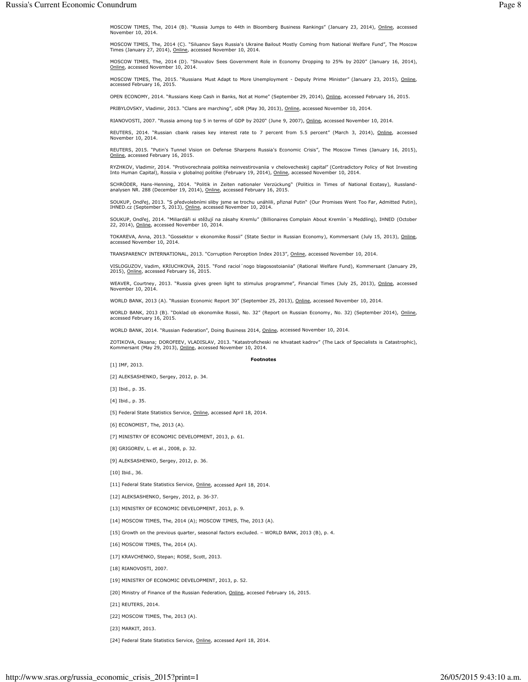MOSCOW TIMES, The, 2014 (B). "Russia Jumps to 44th in Bloomberg Business Rankings" (January 23, 2014), <u>Online</u>, accessed November 10, 2014.

MOSCOW TIMES, The, 2014 (C). "Siluanov Says Russia's Ukraine Bailout Mostly Coming from National Welfare Fund", The Moscow<br>Times (January 27, 2014), <u>Online</u>, accessed November 10, 2014.

MOSCOW TIMES, The, 2014 (D). "Shuvalov Sees Government Role in Economy Dropping to 25% by 2020" (January 16, 2014), Online, accessed November 10, 2014.

MOSCOW TIMES, The, 2015. "Russians Must Adapt to More Unemployment - Deputy Prime Minister" (January 23, 2015), <u>Online</u>, accessed February 16, 2015.

OPEN ECONOMY, 2014. "Russians Keep Cash in Banks, Not at Home" (September 29, 2014), Online, accessed February 16, 2015.

PRIBYLOVSKY, Vladimir, 2013. "Clans are marching", oDR (May 30, 2013), Online, accessed November 10, 2014.

RIANOVOSTI, 2007. "Russia among top 5 in terms of GDP by 2020" (June 9, 2007), Online, accessed November 10, 2014.

REUTERS, 2014. "Russian cbank raises key interest rate to 7 percent from 5.5 percent" (March 3, 2014), <u>Online</u>, accessed<br>November 10, 2014.

REUTERS, 2015. "Putin's Tunnel Vision on Defense Sharpens Russia's Economic Crisis", The Moscow Times (January 16, 2015),<br><u>Online,</u> accessed February 16, 2015.

RYZHKOV, Vladimir, 2014. "Protivorechnaia politika neinvestirovaniia v chelovecheskij capital" (Contradictory Policy of Not Investing<br>Into Human Capital), Rossiia v globalnoj politike (February 19, 2014), <u>Online</u>, accesse

SCHRODER, Hans-Henning, 2014. "Politik in Zeiten nationaler Verzückung" (Politics in Times of National Ecstasy), Russland-<br>analysen NR. 288 (December 19, 2014), <u>Online</u>, accessed February 16, 2015.

SOUKUP, Ondřej, 2013. "S předvolebními sliby jsme se trochu unáhlili, přiznal Putin" (Our Promises Went Too Far, Admitted Putin),<br>IHNED.cz (September 5, 2013), <u>Online,</u> accessed November 10, 2014.

SOUKUP, Ondřej, 2014. "Miliardáři si stěžují na zásahy Kremlu" (Billionaires Complain About Kremlin's Meddling), IHNED (October 22, 2014), Online, accessed November 10, 2014.

TOKAREVA, Anna, 2013. "Gossektor v ekonomike Rossii" (State Sector in Russian Economy), Kommersant (July 15, 2013), <u>Online</u>, accessed November 10, 2014.

TRANSPARENCY INTERNATIONAL, 2013. "Corruption Perception Index 2013", <u>Online,</u> accessed November 10, 2014.

VISLOGUZOV, Vadim, KRIUCHKOVA, 2015. "Fond raciol´nogo blagosostoianiia" (Rational Welfare Fund), Kommersant (January 29,<br>2015), <u>Online</u>, accessed February 16, 2015.

WEAVER, Courtney, 2013. "Russia gives green light to stimulus programme", Financial Times (July 25, 2013), <u>Online</u>, accessed<br>November 10, 2014.

WORLD BANK, 2013 (A). "Russian Economic Report 30" (September 25, 2013), Online, accessed November 10, 2014.

WORLD BANK, 2013 (B). "Doklad ob ekonomike Rossii, No. 32" (Report on Russian Economy, No. 32) (September 2014), <u>Online,</u><br>accessed February 16, 2015.

WORLD BANK, 2014. "Russian Federation", Doing Business 2014, Online, accessed November 10, 2014.

ZOTIKOVA, Oksana; DOROFEEV, VLADISLAV, 2013. "Katastroficheski ne khvataet kadrov" (The Lack of Specialists is Catastrophic), Kommersant (May 29, 2013), <u>Online</u>, accessed November 10, 2014.

 $[1]$  IMF, 2013.

#### **Footnotes**

[2] ALEKSASHENKO, Sergey, 2012, p. 34.

 $[3]$  Ibid., p. 35.

 $[4]$   $1$ bid., p. 35.

[5] Federal State Statistics Service, Online, accessed April 18, 2014.

[6] ECONOMIST, The, 2013 (A).

[7] MINISTRY OF ECONOMIC DEVELOPMENT, 2013, p. 61.

[8] GRIGOREV, L. et al., 2008, p. 32.

[9] ALEKSASHENKO, Sergey, 2012, p. 36.

 $[10]$  Ibid., 36.

[11] Federal State Statistics Service, Online, accessed April 18, 2014.

[12] ALEKSASHENKO, Sergey, 2012, p. 36-37.

[13] MINISTRY OF ECONOMIC DEVELOPMENT, 2013, p. 9.

[14] MOSCOW TIMES, The, 2014 (A); MOSCOW TIMES, The, 2013 (A).

[15] Growth on the previous quarter, seasonal factors excluded.  $-$  WORLD BANK, 2013 (B), p. 4.

[16] MOSCOW TIMES, The, 2014 (A).

[17] KRAVCHENKO, Stepan; ROSE, Scott, 2013.

[18] RIANOVOSTI, 2007.

[19] MINISTRY OF ECONOMIC DEVELOPMENT, 2013, p. 52.

[20] Ministry of Finance of the Russian Federation, Online, accesed February 16, 2015.

[21] REUTERS, 2014.

[22] MOSCOW TIMES, The, 2013 (A).

[23] MARKIT, 2013.

[24] Federal State Statistics Service, Online, accessed April 18, 2014.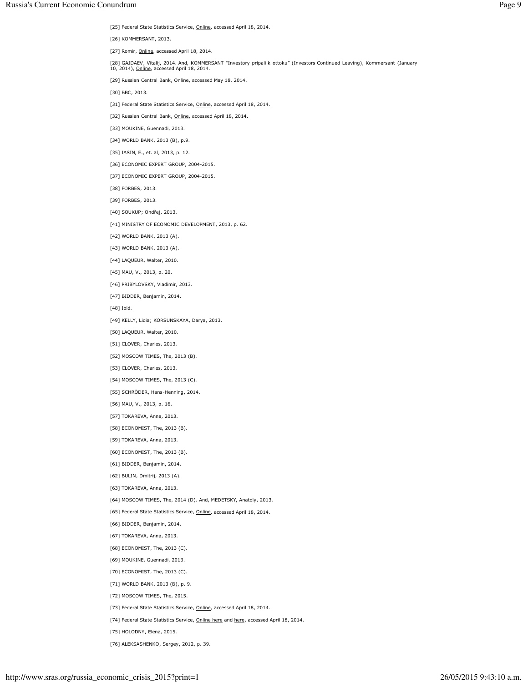[25] Federal State Statistics Service, Online, accessed April 18, 2014.

[26] KOMMERSANT, 2013.

[27] Romir, Online, accessed April 18, 2014.

[28] GAJDAEV, Vitalij, 2014. And, KOMMERSANT "Investory pripali k ottoku" (Investors Continued Leaving), Kommersant (January<br>10, 2014), <u>Online</u>, accessed April 18, 2014.

[29] Russian Central Bank, Online, accessed May 18, 2014.

[30] BBC, 2013.

- [31] Federal State Statistics Service, Online, accessed April 18, 2014.
- [32] Russian Central Bank, Online, accessed April 18, 2014.
- [33] MOUKINE, Guennadi, 2013.
- [34] WORLD BANK, 2013 (B), p.9.
- [35] IASIN, E., et. al, 2013, p. 12.
- [36] ECONOMIC EXPERT GROUP, 2004-2015.
- [37] ECONOMIC EXPERT GROUP, 2004-2015.
- [38] FORBES, 2013.
- [39] FORBES, 2013.
- [40] SOUKUP; Ondřej, 2013.
- [41] MINISTRY OF ECONOMIC DEVELOPMENT, 2013, p. 62.
- [42] WORLD BANK, 2013 (A).
- [43] WORLD BANK, 2013 (A).
- [44] LAQUEUR, Walter, 2010.
- [45] MAU, V., 2013, p. 20.
- [46] PRIBYLOVSKY, Vladimir, 2013.
- [47] BIDDER, Benjamin, 2014.
- $[48]$  Ibid.
- [49] KELLY, Lidia; KORSUNSKAYA, Darya, 2013.
- [50] LAQUEUR, Walter, 2010.
- [51] CLOVER, Charles, 2013.
- [52] MOSCOW TIMES, The, 2013 (B).
- [53] CLOVER, Charles, 2013.
- [54] MOSCOW TIMES, The, 2013 (C).
- [55] SCHRÖDER, Hans-Henning, 2014.
- [56] MAU, V., 2013, p. 16.
- [57] TOKAREVA, Anna, 2013.
- [58] ECONOMIST, The, 2013 (B).
- [59] TOKAREVA, Anna, 2013.
- [60] ECONOMIST, The, 2013 (B).
- [61] BIDDER, Benjamin, 2014.
- [62] BULIN, Dmitrij, 2013 (A).
- [63] TOKAREVA, Anna, 2013.
- [64] MOSCOW TIMES, The, 2014 (D). And, MEDETSKY, Anatoly, 2013.
- [65] Federal State Statistics Service, Online, accessed April 18, 2014.
- [66] BIDDER, Benjamin, 2014.
- [67] TOKAREVA, Anna, 2013.
- [68] ECONOMIST, The, 2013 (C).
- [69] MOUKINE, Guennadi, 2013.
- [70] ECONOMIST, The, 2013 (C).
- [71] WORLD BANK, 2013 (B), p. 9.
- [72] MOSCOW TIMES, The, 2015.
- [73] Federal State Statistics Service, Online, accessed April 18, 2014.
- [74] Federal State Statistics Service, Online here and here, accessed April 18, 2014.
- [75] HOLODNY, Elena, 2015.
- [76] ALEKSASHENKO, Sergey, 2012, p. 39.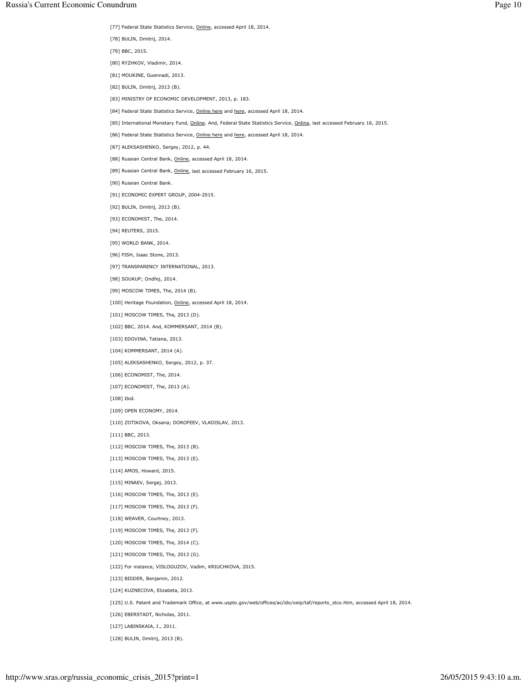- [77] Federal State Statistics Service, Online, accessed April 18, 2014.
- [78] BULIN, Dmitrij, 2014.
- [79] BBC, 2015.
- [80] RYZHKOV, Vladimir, 2014.
- [81] MOUKINE, Guennadi, 2013.
- [82] BULIN, Dmitrij, 2013 (B).
- [83] MINISTRY OF ECONOMIC DEVELOPMENT, 2013, p. 183.
- [84] Federal State Statistics Service, Online here and here, accessed April 18, 2014.
- [85] International Monetary Fund, Online. And, Federal State Statistics Service, Online, last accessed February 16, 2015.
- [86] Federal State Statistics Service, Online here and here, accessed April 18, 2014.
- [87] ALEKSASHENKO, Sergey, 2012, p. 44.
- [88] Russian Central Bank, Online, accessed April 18, 2014.
- [89] Russian Central Bank, Online, last accessed February 16, 2015.
- [90] Russian Central Bank.
- [91] ECONOMIC EXPERT GROUP, 2004-2015.
- [92] BULIN, Dmitrij, 2013 (B).
- [93] ECONOMIST, The, 2014.
- [94] REUTERS, 2015.
- [95] WORLD BANK, 2014.
- [96] FISH, Isaac Stone, 2013.
- [97] TRANSPARENCY INTERNATIONAL, 2013.
- [98] SOUKUP; Ondřej, 2014.
- [99] MOSCOW TIMES, The, 2014 (B).
- [100] Heritage Foundation, Online, accessed April 18, 2014.
- [101] MOSCOW TIMES, The, 2013 (D).
- [102] BBC, 2014. And, KOMMERSANT, 2014 (B).
- [103] EDOVINA, Tatiana, 2013.
- [104] KOMMERSANT, 2014 (A).
- [105] ALEKSASHENKO, Sergey, 2012, p. 37.
- [106] ECONOMIST, The, 2014.
- [107] ECONOMIST, The, 2013 (A).
- $[108]$  Ibid.
- [109] OPEN ECONOMY, 2014.
- [110] ZOTIKOVA, Oksana; DOROFEEV, VLADISLAV, 2013.
- $[111]$  BBC, 2013.
- [112] MOSCOW TIMES, The, 2013 (B).
- [113] MOSCOW TIMES, The, 2013 (E).
- [114] AMOS, Howard, 2015.
- [115] MINAEV, Sergej, 2013.
- [116] MOSCOW TIMES, The, 2013 (E).
- [117] MOSCOW TIMES, The, 2013 (F).
- [118] WEAVER, Courtney, 2013.
- [119] MOSCOW TIMES, The, 2013 (F).
- [120] MOSCOW TIMES, The, 2014 (C).
- [121] MOSCOW TIMES, The, 2013 (G).
- [122] For instance, VISLOGUZOV, Vadim, KRIUCHKOVA, 2015.
- [123] BIDDER, Benjamin, 2012.
- [124] KUZNECOVA, Elizabeta, 2013.
- .125] U.S. Patent and Trademark Office, at www.uspto.gov/web/offices/ac/ido/oeip/taf/reports\_stco.htm, accessed April 18, 2014.
- [126] EBERSTADT, Nicholas, 2011.
- [127] LABINSKAIA, I., 2011.
- [128] BULIN, Dmitrij, 2013 (B).